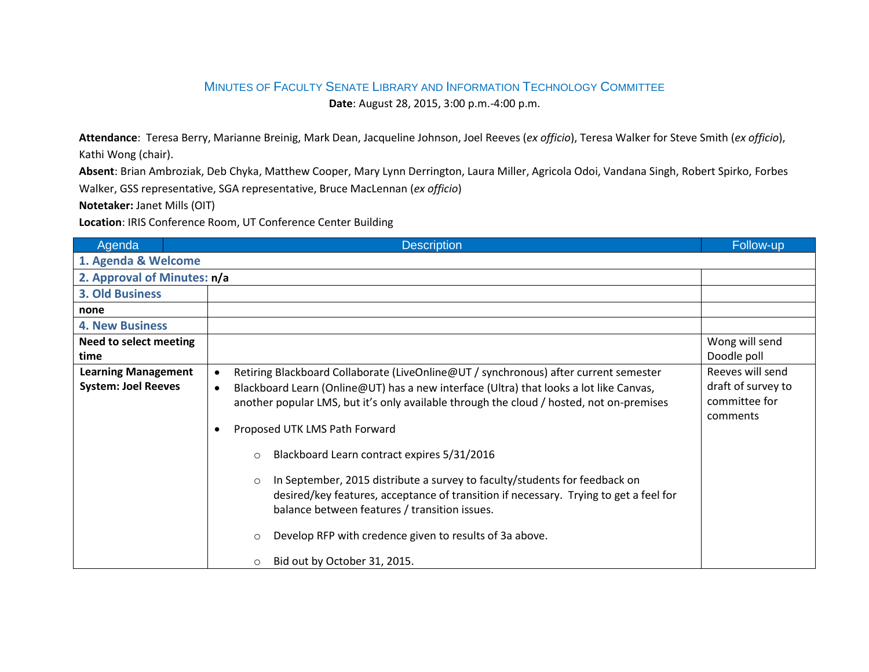## MINUTES OF FACULTY SENATE LIBRARY AND INFORMATION TECHNOLOGY COMMITTEE **Date**: August 28, 2015, 3:00 p.m.-4:00 p.m.

**Attendance**: Teresa Berry, Marianne Breinig, Mark Dean, Jacqueline Johnson, Joel Reeves (*ex officio*), Teresa Walker for Steve Smith (*ex officio*), Kathi Wong (chair).

**Absent**: Brian Ambroziak, Deb Chyka, Matthew Cooper, Mary Lynn Derrington, Laura Miller, Agricola Odoi, Vandana Singh, Robert Spirko, Forbes Walker, GSS representative, SGA representative, Bruce MacLennan (*ex officio*)

**Notetaker:** Janet Mills (OIT)

**Location**: IRIS Conference Room, UT Conference Center Building

| Agenda                      | <b>Description</b>                                                                                                                                                                                                                                                                                                                                                                                         | Follow-up                                       |
|-----------------------------|------------------------------------------------------------------------------------------------------------------------------------------------------------------------------------------------------------------------------------------------------------------------------------------------------------------------------------------------------------------------------------------------------------|-------------------------------------------------|
| 1. Agenda & Welcome         |                                                                                                                                                                                                                                                                                                                                                                                                            |                                                 |
| 2. Approval of Minutes: n/a |                                                                                                                                                                                                                                                                                                                                                                                                            |                                                 |
| <b>3. Old Business</b>      |                                                                                                                                                                                                                                                                                                                                                                                                            |                                                 |
| none                        |                                                                                                                                                                                                                                                                                                                                                                                                            |                                                 |
| <b>4. New Business</b>      |                                                                                                                                                                                                                                                                                                                                                                                                            |                                                 |
| Need to select meeting      |                                                                                                                                                                                                                                                                                                                                                                                                            | Wong will send                                  |
| time                        |                                                                                                                                                                                                                                                                                                                                                                                                            | Doodle poll                                     |
| <b>Learning Management</b>  | Retiring Blackboard Collaborate (LiveOnline@UT / synchronous) after current semester<br>$\bullet$                                                                                                                                                                                                                                                                                                          | Reeves will send                                |
| <b>System: Joel Reeves</b>  | Blackboard Learn (Online@UT) has a new interface (Ultra) that looks a lot like Canvas,<br>$\bullet$<br>another popular LMS, but it's only available through the cloud / hosted, not on-premises<br>Proposed UTK LMS Path Forward<br>$\bullet$                                                                                                                                                              | draft of survey to<br>committee for<br>comments |
|                             | Blackboard Learn contract expires 5/31/2016<br>$\circ$<br>In September, 2015 distribute a survey to faculty/students for feedback on<br>$\circ$<br>desired/key features, acceptance of transition if necessary. Trying to get a feel for<br>balance between features / transition issues.<br>Develop RFP with credence given to results of 3a above.<br>$\circ$<br>Bid out by October 31, 2015.<br>$\circ$ |                                                 |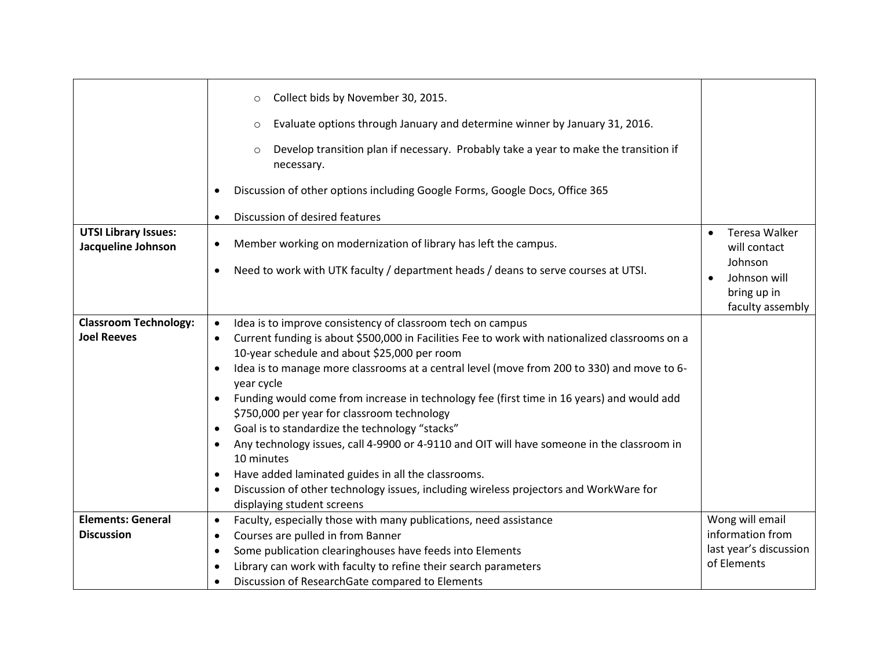|                                                   | Collect bids by November 30, 2015.<br>$\circ$                                                                                                               |                                            |
|---------------------------------------------------|-------------------------------------------------------------------------------------------------------------------------------------------------------------|--------------------------------------------|
|                                                   | Evaluate options through January and determine winner by January 31, 2016.<br>$\circ$                                                                       |                                            |
|                                                   | Develop transition plan if necessary. Probably take a year to make the transition if<br>$\circ$<br>necessary.                                               |                                            |
|                                                   | Discussion of other options including Google Forms, Google Docs, Office 365<br>$\bullet$                                                                    |                                            |
|                                                   | Discussion of desired features<br>$\bullet$                                                                                                                 |                                            |
| <b>UTSI Library Issues:</b><br>Jacqueline Johnson | Member working on modernization of library has left the campus.<br>$\bullet$                                                                                | Teresa Walker<br>$\bullet$<br>will contact |
|                                                   | Need to work with UTK faculty / department heads / deans to serve courses at UTSI.<br>$\bullet$                                                             | Johnson<br>Johnson will<br>bring up in     |
|                                                   |                                                                                                                                                             | faculty assembly                           |
| <b>Classroom Technology:</b>                      | Idea is to improve consistency of classroom tech on campus<br>$\bullet$                                                                                     |                                            |
| <b>Joel Reeves</b>                                | Current funding is about \$500,000 in Facilities Fee to work with nationalized classrooms on a<br>$\bullet$<br>10-year schedule and about \$25,000 per room |                                            |
|                                                   | Idea is to manage more classrooms at a central level (move from 200 to 330) and move to 6-<br>$\bullet$<br>year cycle                                       |                                            |
|                                                   | Funding would come from increase in technology fee (first time in 16 years) and would add<br>\$750,000 per year for classroom technology                    |                                            |
|                                                   | Goal is to standardize the technology "stacks"<br>$\bullet$                                                                                                 |                                            |
|                                                   | Any technology issues, call 4-9900 or 4-9110 and OIT will have someone in the classroom in<br>$\bullet$<br>10 minutes                                       |                                            |
|                                                   | Have added laminated guides in all the classrooms.<br>$\bullet$                                                                                             |                                            |
|                                                   | Discussion of other technology issues, including wireless projectors and WorkWare for<br>$\bullet$                                                          |                                            |
|                                                   | displaying student screens                                                                                                                                  |                                            |
| <b>Elements: General</b>                          | Faculty, especially those with many publications, need assistance<br>$\bullet$                                                                              | Wong will email                            |
| <b>Discussion</b>                                 | Courses are pulled in from Banner<br>$\bullet$                                                                                                              | information from                           |
|                                                   | Some publication clearinghouses have feeds into Elements<br>$\bullet$                                                                                       | last year's discussion                     |
|                                                   | Library can work with faculty to refine their search parameters<br>$\bullet$                                                                                | of Elements                                |
|                                                   | Discussion of ResearchGate compared to Elements<br>$\bullet$                                                                                                |                                            |